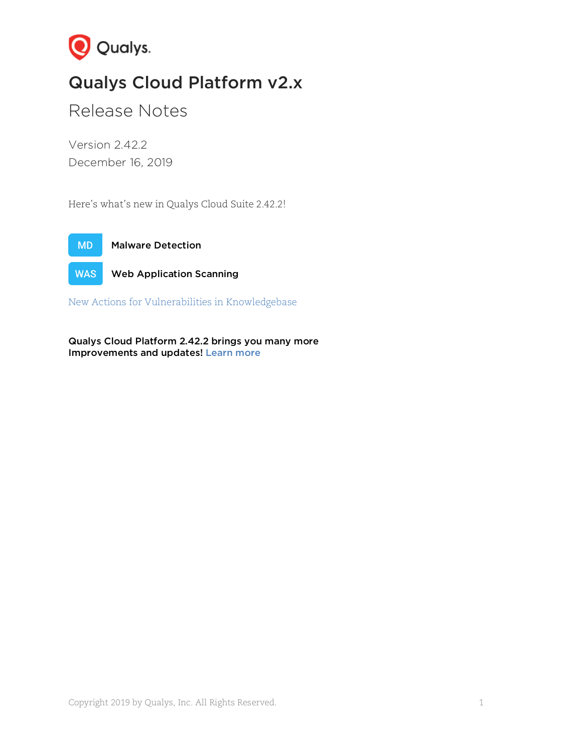

# Qualys Cloud Platform v2.x

Release Notes

Version 2.42.2 December 16, 2019

Here's what's new in Qualys Cloud Suite 2.42.2!



**WAS** Web Application Scanning

[New Actions for Vulnerabilities in Knowledgebase](#page-1-0)

Qualys Cloud Platform 2.42.2 brings you many more Improvements and updates! [Learn more](#page-3-0)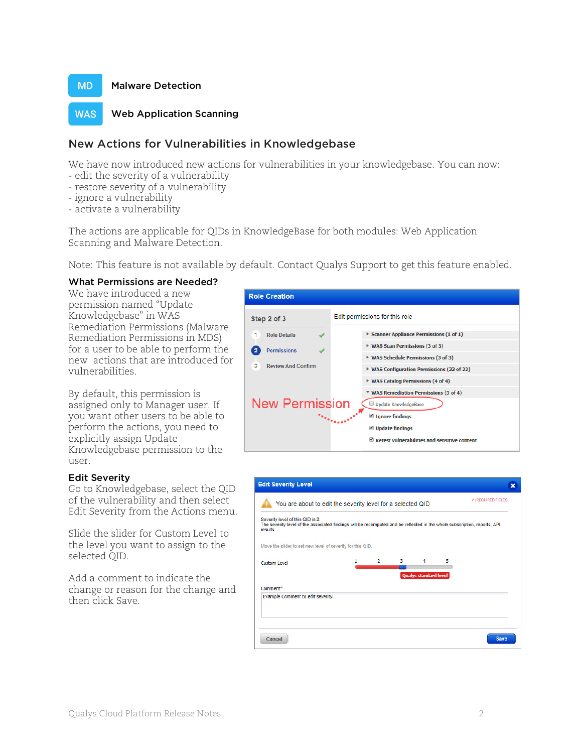

#### **WAS** Web Application Scanning

# <span id="page-1-0"></span>New Actions for Vulnerabilities in Knowledgebase

We have now introduced new actions for vulnerabilities in your knowledgebase. You can now:

- edit the severity of a vulnerability
- restore severity of a vulnerability
- ignore a vulnerability
- activate a vulnerability

The actions are applicable for QIDs in KnowledgeBase for both modules: Web Application Scanning and Malware Detection.

Note: This feature is not available by default. Contact Qualys Support to get this feature enabled.

### What Permissions are Needed?

We have introduced a new permission named "Update Knowledgebase" in WAS Remediation Permissions (Malware Remediation Permissions in MDS) for a user to be able to perform the new actions that are introduced for vulnerabilities.

By default, this permission is assigned only to Manager user. If you want other users to be able to perform the actions, you need to explicitly assign Update Knowledgebase permission to the user.

### Edit Severity

Go to Knowledgebase, select the QID of the vulnerability and then select Edit Severity from the Actions menu.

Slide the slider for Custom Level to the level you want to assign to the selected QID.

Add a comment to indicate the change or reason for the change and then click Save.



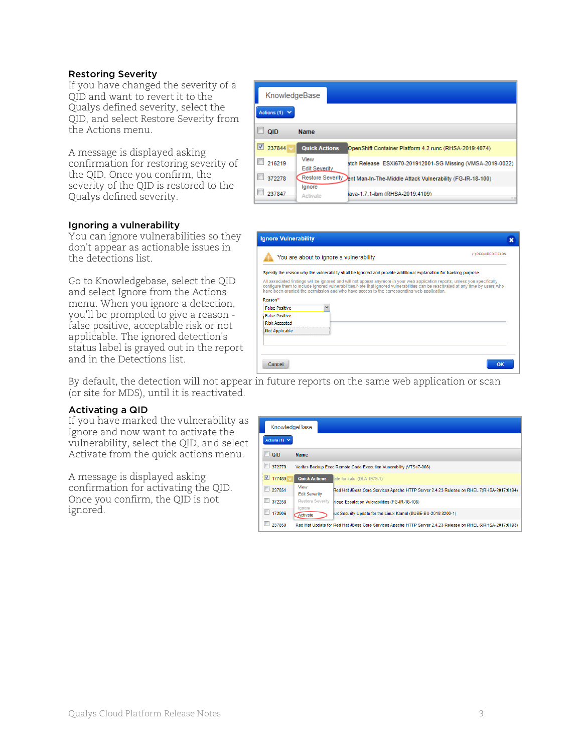### Restoring Severity

If you have changed the severity of a QID and want to revert it to the Qualys defined severity, select the QID, and select Restore Severity from the Actions menu.

A message is displayed asking confirmation for restoring severity of the QID. Once you confirm, the severity of the QID is restored to the Qualys defined severity.

### Ignoring a vulnerability

You can ignore vulnerabilities so they don't appear as actionable issues in the detections list.

Go to Knowledgebase, select the QID and select Ignore from the Actions menu. When you ignore a detection, you'll be prompted to give a reason false positive, acceptable risk or not applicable. The ignored detection's status label is grayed out in the report and in the Detections list.

| KnowledgeBase      |                              |                                                            |  |  |  |
|--------------------|------------------------------|------------------------------------------------------------|--|--|--|
| Actions (1) $\vee$ |                              |                                                            |  |  |  |
| <b>QID</b>         | <b>Name</b>                  |                                                            |  |  |  |
| 237844             | <b>Quick Actions</b>         | OpenShift Container Platform 4.2 runc (RHSA-2019:4074)     |  |  |  |
| 216219             | View<br><b>Edit Severity</b> | atch Release ESXi670-201912001-SG Missing (VMSA-2019-0022) |  |  |  |
| 372278             | <b>Restore Severity</b>      | ent Man-In-The-Middle Attack Vulnerability (FG-IR-18-100)  |  |  |  |
| 237847             | lgnore<br>Activate           | iava-1.7.1-ibm (RHSA-2019:4109)                            |  |  |  |

|                       | Specify the reason why the vulnerability shall be ignored and provide additional explanation for tracking purpose.                                                                                                                                                                                                                                             |  |
|-----------------------|----------------------------------------------------------------------------------------------------------------------------------------------------------------------------------------------------------------------------------------------------------------------------------------------------------------------------------------------------------------|--|
|                       | All associated findings will be ignored and will not appear anymore in your web application reports, unless you specifically<br>configure them to include ignored vulnerabilities. Note that ignored vulnerabilities can be reactivated at any time by users who<br>have been granted the permission and who have access to the corresponding web application. |  |
| Reason*               |                                                                                                                                                                                                                                                                                                                                                                |  |
| <b>False Positive</b> |                                                                                                                                                                                                                                                                                                                                                                |  |
| <b>False Positive</b> |                                                                                                                                                                                                                                                                                                                                                                |  |
| <b>Risk Accepted</b>  |                                                                                                                                                                                                                                                                                                                                                                |  |
|                       |                                                                                                                                                                                                                                                                                                                                                                |  |

By default, the detection will not appear in future reports on the same web application or scan (or site for MDS), until it is reactivated.

#### Activating a QID

If you have marked the vulnerability as Ignore and now want to activate the vulnerability, select the QID, and select Activate from the quick actions menu.

A message is displayed asking confirmation for activating the QID. Once you confirm, the QID is not ignored.

| KnowledgeBase      |                                                                    |                                                                                                            |  |  |  |
|--------------------|--------------------------------------------------------------------|------------------------------------------------------------------------------------------------------------|--|--|--|
| Actions (1) $\vee$ |                                                                    |                                                                                                            |  |  |  |
| $\Box$ QID         | <b>Name</b>                                                        |                                                                                                            |  |  |  |
| 372279             | Veritas Backup Exec Remote Code Execution Vunerability (VTS17-006) |                                                                                                            |  |  |  |
| V<br>177480        | <b>Quick Actions</b>                                               | late for italc (DLA 1979-1)                                                                                |  |  |  |
| 237851             | View<br><b>Edit Severity</b><br>Restore Severity<br>lanore         | Red Hat JBoss Core Services Apache HTTP Server 2.4.23 Release on RHEL 7(RHSA-2017:0194)                    |  |  |  |
| m<br>372258        |                                                                    | vilege Escalation Vulerabilities (FG-IR-18-108)                                                            |  |  |  |
| 172906             | Activate                                                           | iux Security Update for the Linux Kernel (SUSE-SU-2019:3200-1)                                             |  |  |  |
| 237850             |                                                                    | Red Hat Update for Red Hat JBoss Core Services Apache HTTP Server 2.4.23 Release on RHEL 6(RHSA-2017:0193) |  |  |  |